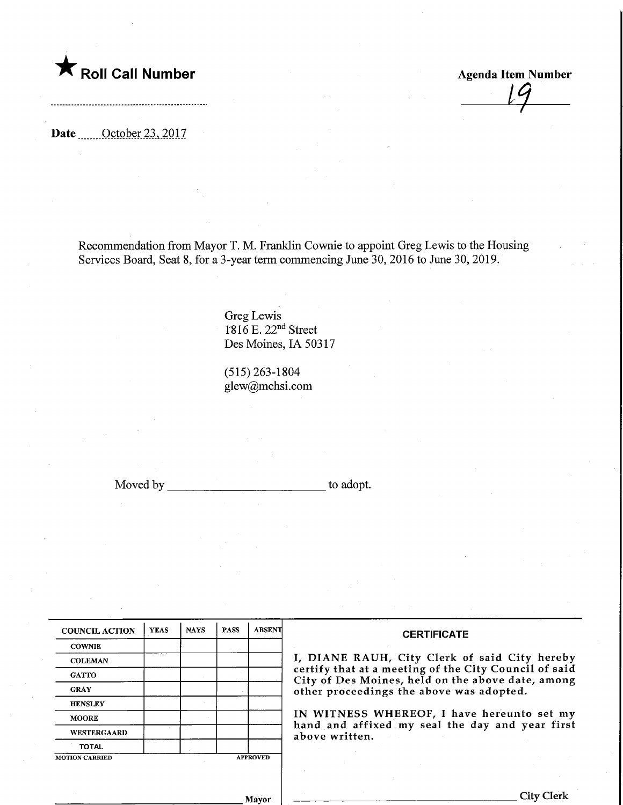## $\blacktriangledown$  Roll Call Number

Agenda Item Number 4-

Date ........October 23,2017

Recommendation from Mayor T. M. Franklin Cownie to appoint Greg Lewis to the Housing Services Board, Seat 8, for a 3-year term commencing June 30, 2016 to June 30, 2019.

> Greg Lewis 1-816 E. 22nd Street Des Moines, IA 50317

(515)263-1804 glew@mchsi.com

Moved by to adopt.

| <b>COUNCIL ACTION</b> | <b>YEAS</b> | <b>NAYS</b>     | <b>PASS</b> | <b>ABSENT</b> |
|-----------------------|-------------|-----------------|-------------|---------------|
| <b>COWNIE</b>         |             |                 |             |               |
| <b>COLEMAN</b>        |             |                 |             |               |
| <b>GATTO</b>          |             |                 |             |               |
| <b>GRAY</b>           |             |                 |             |               |
| <b>HENSLEY</b>        |             |                 |             |               |
| <b>MOORE</b>          |             |                 |             |               |
| <b>WESTERGAARD</b>    |             |                 |             |               |
| <b>TOTAL</b>          |             |                 |             |               |
| <b>MOTION CARRIED</b> |             | <b>APPROVED</b> |             |               |

#### **CERTIFICATE**

I, DIANE RAUH, City Clerk of said City hereby certify that at a meeting of the City Council of said City of Des Moines, held on the above date, among other proceedings the above was adopted.

IN WITNESS WHEREOF, I have hereunto set my hand and affixed my seal the day and year first above written.

Mayor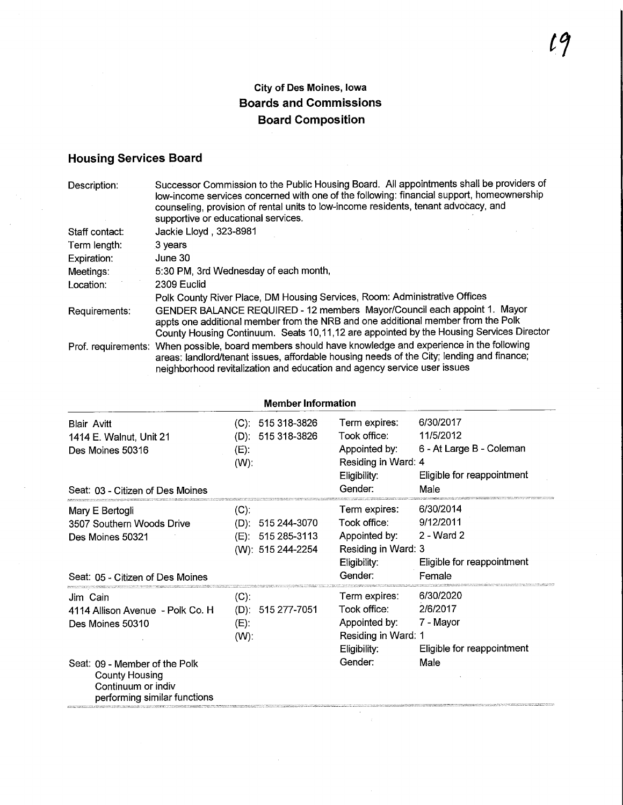#### City of Des Moines, Iowa Boards and Commissions Board Composition

### Housing Services Board

 $\bar{z}$ 

| Description:   | Successor Commission to the Public Housing Board. All appointments shall be providers of<br>low-income services concerned with one of the following: financial support, homeownership<br>counseling, provision of rental units to low-income residents, tenant advocacy, and<br>supportive or educational services. |
|----------------|---------------------------------------------------------------------------------------------------------------------------------------------------------------------------------------------------------------------------------------------------------------------------------------------------------------------|
| Staff contact: | Jackie Lloyd, 323-8981                                                                                                                                                                                                                                                                                              |
| Term length:   | 3 years                                                                                                                                                                                                                                                                                                             |
| Expiration:    | June 30                                                                                                                                                                                                                                                                                                             |
| Meetings:      | 5:30 PM, 3rd Wednesday of each month,                                                                                                                                                                                                                                                                               |
| Location:      | 2309 Euclid                                                                                                                                                                                                                                                                                                         |
|                | Polk County River Place, DM Housing Services, Room: Administrative Offices                                                                                                                                                                                                                                          |
| Requirements:  | GENDER BALANCE REQUIRED - 12 members Mayor/Council each appoint 1. Mayor<br>appts one additional member from the NRB and one additional member from the Polk<br>County Housing Continuum. Seats 10,11,12 are appointed by the Housing Services Director                                                             |
|                | Prof. requirements: When possible, board members should have knowledge and experience in the following<br>areas: landlord/tenant issues, affordable housing needs of the City; lending and finance;<br>neighborhood revitalization and education and agency service user issues                                     |

| <b>Member Information</b>                                                                                                                                                        |                               |                                                              |                                                                                                  |                                                                                          |
|----------------------------------------------------------------------------------------------------------------------------------------------------------------------------------|-------------------------------|--------------------------------------------------------------|--------------------------------------------------------------------------------------------------|------------------------------------------------------------------------------------------|
| <b>Blair Avitt</b><br>1414 E. Walnut, Unit 21<br>Des Moines 50316<br>Seat: 03 - Citizen of Des Moines                                                                            | (D):<br>$(E)$ :<br>$(W)$ :    | $(C): 515318-3826$<br>515 318-3826                           | Term expires:<br>Took office:<br>Appointed by:<br>Residing in Ward: 4<br>Eligibility:<br>Gender: | 6/30/2017<br>11/5/2012<br>6 - At Large B - Coleman<br>Eligible for reappointment<br>Male |
| Mary E Bertogli<br>3507 Southern Woods Drive<br>Des Moines 50321<br>Seat: 05 - Citizen of Des Moines                                                                             | $(C)$ :                       | $(D): 515244-3070$<br>(E): 515 285-3113<br>(W): 515 244-2254 | Term expires:<br>Took office:<br>Appointed by:<br>Residing in Ward: 3<br>Eligibility:<br>Gender: | 6/30/2014<br>9/12/2011<br>2 - Ward 2<br>Eligible for reappointment<br>Female             |
| Jim Cain<br>4114 Allison Avenue - Polk Co. H<br>Des Moines 50310<br>Seat: 09 - Member of the Polk<br><b>County Housing</b><br>Confinuum or indiv<br>performing similar functions | $(C)$ :<br>$(E)$ :<br>$(W)$ : | $(D)$ : 515 277-7051                                         | Term expires:<br>Took office:<br>Appointed by:<br>Residing in Ward: 1<br>Eligibility:<br>Gender: | 6/30/2020<br>2/6/2017<br>7 - Mayor<br>Eligible for reappointment<br>Male                 |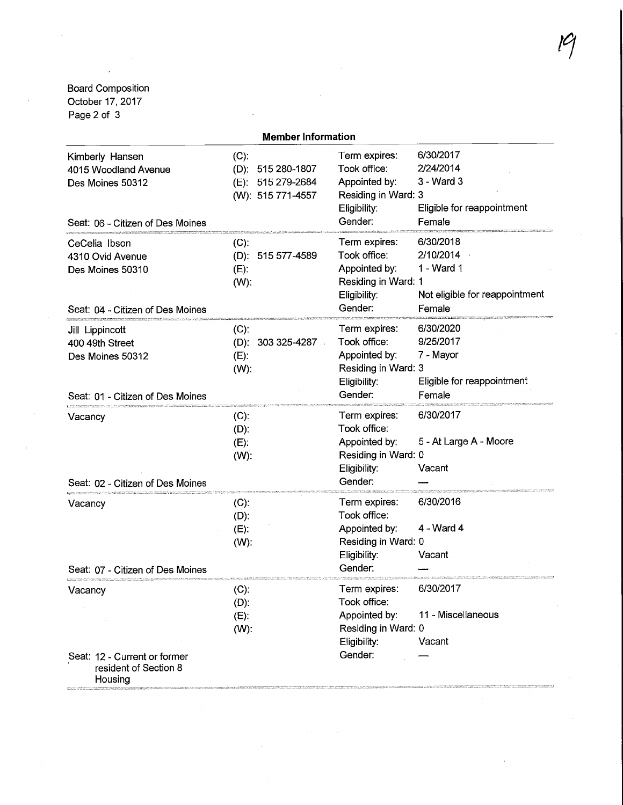Board Composition October 17, 2017 Page 2 of 3

| <b>Member Information</b>                                                                       |                                                                        |                                                                                                  |                                                                                  |
|-------------------------------------------------------------------------------------------------|------------------------------------------------------------------------|--------------------------------------------------------------------------------------------------|----------------------------------------------------------------------------------|
| Kimberly Hansen<br>4015 Woodland Avenue<br>Des Moines 50312<br>Seat: 06 - Citizen of Des Moines | $(C)$ :<br>(D): 515 280-1807<br>(E): 515 279-2684<br>(W): 515 771-4557 | Term expires:<br>Took office:<br>Appointed by:<br>Residing in Ward: 3<br>Eligibility:<br>Gender: | 6/30/2017<br>2/24/2014<br>3 - Ward 3<br>Eligible for reappointment<br>Female     |
| CeCelia Ibson<br>4310 Ovid Avenue<br>Des Moines 50310<br>Seat: 04 - Citizen of Des Moines       | $(C)$ .<br>(D): 515 577-4589<br>$(E)$ :<br>$(W)$ :                     | Term expires:<br>Took office:<br>Appointed by:<br>Residing in Ward: 1<br>Eligibility:<br>Gender: | 6/30/2018<br>2/10/2014<br>1 - Ward 1<br>Not eligible for reappointment<br>Female |
| Jill Lippincott<br>400 49th Street<br>Des Moines 50312<br>Seat: 01 - Citizen of Des Moines      | $(C)$ :<br>$(D)$ : 303 325-4287<br>$(E)$ :<br>$(W)$ :                  | Term expires:<br>Took office:<br>Appointed by:<br>Residing in Ward: 3<br>Eligibility:<br>Gender: | 6/30/2020<br>9/25/2017<br>7 - Mayor<br>Eligible for reappointment<br>Female      |
| Vacancy<br>Seat: 02 - Citizen of Des Moines                                                     | $(C)$ :<br>$(D)$ :<br>$(E)$ :<br>$(W)$ .                               | Term expires:<br>Took office:<br>Appointed by:<br>Residing in Ward: 0<br>Eligibility:<br>Gender: | 6/30/2017<br>5 - At Large A - Moore<br>Vacant                                    |
| Vacancy<br>Seat: 07 - Citizen of Des Moines                                                     | $(C)$ :<br>$(D)$ :<br>$(E)$ :<br>$(W)$ :                               | Term expires:<br>Took office:<br>Appointed by:<br>Residing in Ward: 0<br>Eligibility:<br>Gender: | 6/30/2016<br>$4 - Ward 4$<br>Vacant                                              |
| Vacancy<br>Seat: 12 - Current or former<br>resident of Section 8<br>Housing                     | $(C)$ :<br>(D):<br>$(E)$ :<br>$(W)$ :                                  | Term expires:<br>Took office:<br>Appointed by:<br>Residing in Ward: 0<br>Eligibility:<br>Gender: | 6/30/2017<br>11 - Miscellaneous<br>Vacant                                        |

# $\widetilde{\mathcal{C}}$